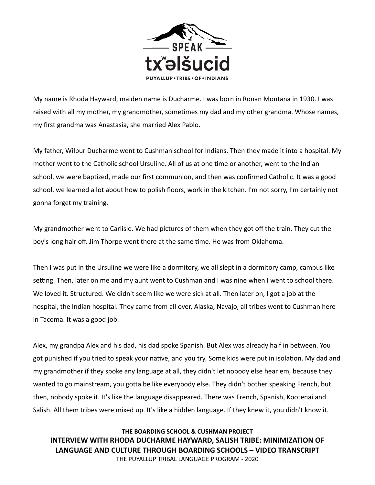

My name is Rhoda Hayward, maiden name is Ducharme. I was born in Ronan Montana in 1930. I was raised with all my mother, my grandmother, sometimes my dad and my other grandma. Whose names, my first grandma was Anastasia, she married Alex Pablo.

My father, Wilbur Ducharme went to Cushman school for Indians. Then they made it into a hospital. My mother went to the Catholic school Ursuline. All of us at one time or another, went to the Indian school, we were baptized, made our first communion, and then was confirmed Catholic. It was a good school, we learned a lot about how to polish floors, work in the kitchen. I'm not sorry, I'm certainly not gonna forget my training.

My grandmother went to Carlisle. We had pictures of them when they got off the train. They cut the boy's long hair off. Jim Thorpe went there at the same time. He was from Oklahoma.

Then I was put in the Ursuline we were like a dormitory, we all slept in a dormitory camp, campus like setting. Then, later on me and my aunt went to Cushman and I was nine when I went to school there. We loved it. Structured. We didn't seem like we were sick at all. Then later on, I got a job at the hospital, the Indian hospital. They came from all over, Alaska, Navajo, all tribes went to Cushman here in Tacoma. It was a good job.

Alex, my grandpa Alex and his dad, his dad spoke Spanish. But Alex was already half in between. You got punished if you tried to speak your native, and you try. Some kids were put in isolation. My dad and my grandmother if they spoke any language at all, they didn't let nobody else hear em, because they wanted to go mainstream, you gotta be like everybody else. They didn't bother speaking French, but then, nobody spoke it. It's like the language disappeared. There was French, Spanish, Kootenai and Salish. All them tribes were mixed up. It's like a hidden language. If they knew it, you didn't know it.

**THE BOARDING SCHOOL & CUSHMAN PROJECT INTERVIEW WITH RHODA DUCHARME HAYWARD, SALISH TRIBE: MINIMIZATION OF LANGUAGE AND CULTURE THROUGH BOARDING SCHOOLS – VIDEO TRANSCRIPT**  THE PUYALLUP TRIBAL LANGUAGE PROGRAM - 2020